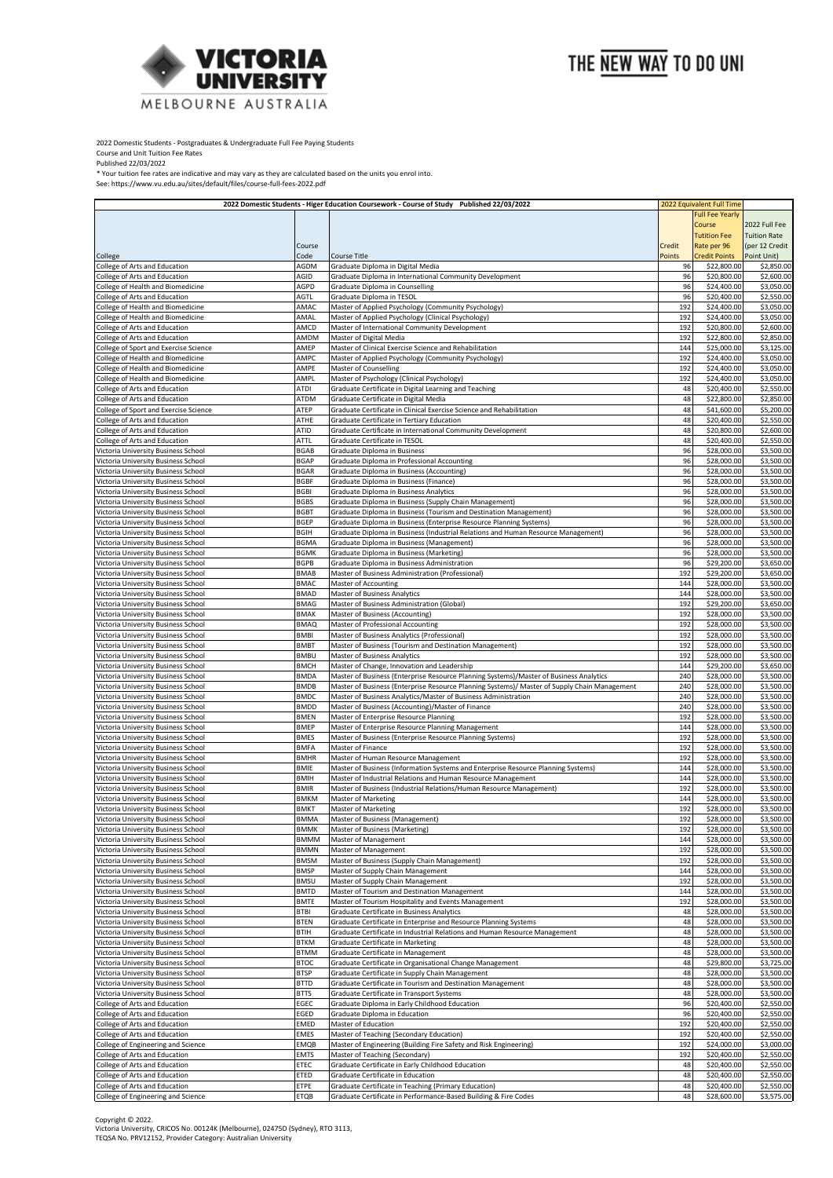

2022 Domestic Students - Postgraduates & Undergraduate Full Fee Paying Students

Course and Unit Tuition Fee Rates Published 22/03/2022

\* Your tuition fee rates are indicative and may vary as they are calculated based on the units you enrol into.

See: https://www.vu.edu.au/sites/default/files/course-full-fees-2022.pdf

|                                                                            | 2022 Domestic Students - Higer Education Coursework - Course of Study Published 22/03/2022 |                                                                                                                          | 2022 Equivalent Full Time |                            |                          |
|----------------------------------------------------------------------------|--------------------------------------------------------------------------------------------|--------------------------------------------------------------------------------------------------------------------------|---------------------------|----------------------------|--------------------------|
|                                                                            |                                                                                            |                                                                                                                          |                           | <b>Full Fee Yearly</b>     |                          |
|                                                                            |                                                                                            |                                                                                                                          |                           | Course                     | 2022 Full Fee            |
|                                                                            |                                                                                            |                                                                                                                          |                           | <b>Tutition Fee</b>        | <b>Tuition Rate</b>      |
|                                                                            | Course                                                                                     |                                                                                                                          | Credit                    | Rate per 96                | (per 12 Credit           |
| College                                                                    | Code                                                                                       | Course Title                                                                                                             | Points                    | <b>Credit Points</b>       | Point Unit)              |
| College of Arts and Education                                              | AGDM                                                                                       | Graduate Diploma in Digital Media                                                                                        | 96                        | \$22,800.00                | \$2,850.00               |
| College of Arts and Education                                              | AGID                                                                                       | Graduate Diploma in International Community Development                                                                  | 96                        | \$20,800.00                | \$2,600.00               |
| College of Health and Biomedicine                                          | AGPD                                                                                       | Graduate Diploma in Counselling                                                                                          | 96                        | \$24,400.00                | \$3,050.00               |
| College of Arts and Education                                              | AGTL                                                                                       | Graduate Diploma in TESOL                                                                                                | 96                        | \$20,400.00                | \$2,550.00               |
| College of Health and Biomedicine                                          | AMAC                                                                                       | Master of Applied Psychology (Community Psychology)                                                                      | 192                       | \$24,400.00                | \$3,050.00               |
| College of Health and Biomedicine                                          | AMAL                                                                                       | Master of Applied Psychology (Clinical Psychology)                                                                       | 192                       | \$24,400.00                | \$3,050.00               |
| College of Arts and Education                                              | AMCD                                                                                       | Master of International Community Development                                                                            | 192                       | \$20,800.00                | \$2,600.00               |
| College of Arts and Education                                              | AMDM                                                                                       | Master of Digital Media                                                                                                  | 192                       | \$22,800.00                | \$2,850.00               |
| College of Sport and Exercise Science                                      | AMEP                                                                                       | Master of Clinical Exercise Science and Rehabilitation                                                                   | 144                       | \$25,000.00                | \$3,125.00               |
| College of Health and Biomedicine                                          | AMPC                                                                                       | Master of Applied Psychology (Community Psychology)                                                                      | 192                       | \$24,400.00                | \$3,050.00               |
| College of Health and Biomedicine                                          | AMPE                                                                                       | Master of Counselling                                                                                                    | 192                       | \$24,400.00                | \$3,050.00               |
| College of Health and Biomedicine                                          | AMPL                                                                                       | Master of Psychology (Clinical Psychology)                                                                               | 192                       | \$24,400.00                | \$3,050.00               |
| College of Arts and Education                                              | ATDI                                                                                       | Graduate Certificate in Digital Learning and Teaching                                                                    | 48                        | \$20,400.00                | \$2,550.00               |
| College of Arts and Education                                              | ATDM                                                                                       | Graduate Certificate in Digital Media                                                                                    | 48                        | \$22,800.00                | \$2,850.00               |
| College of Sport and Exercise Science                                      | ATEP                                                                                       | Graduate Certificate in Clinical Exercise Science and Rehabilitation                                                     | 48                        | \$41,600.00                | \$5,200.00               |
| College of Arts and Education                                              | ATHE                                                                                       | Graduate Certificate in Tertiary Education                                                                               | 48                        | \$20,400.00                | \$2,550.00               |
| College of Arts and Education                                              | ATID                                                                                       | Graduate Certificate in International Community Development                                                              | 48                        | \$20,800.00                | \$2,600.00               |
| College of Arts and Education                                              | ATTL                                                                                       | Graduate Certificate in TESOL                                                                                            | 48                        | \$20,400.00                | \$2,550.00               |
| Victoria University Business School                                        | <b>BGAB</b>                                                                                | <b>Graduate Diploma in Business</b>                                                                                      | 96                        | \$28,000.00                | \$3,500.00               |
| Victoria University Business School                                        | <b>BGAP</b>                                                                                | Graduate Diploma in Professional Accounting                                                                              | 96                        | \$28,000.00                | \$3,500.00               |
| Victoria University Business School                                        | <b>BGAR</b>                                                                                | Graduate Diploma in Business (Accounting)                                                                                | 96                        | \$28,000.00                | \$3,500.00               |
| Victoria University Business School                                        | <b>BGBF</b>                                                                                | Graduate Diploma in Business (Finance)                                                                                   | 96                        | \$28,000.00                | \$3,500.00               |
| Victoria University Business School                                        | <b>BGBI</b>                                                                                | Graduate Diploma in Business Analytics                                                                                   | 96                        | \$28,000.00                | \$3,500.00               |
| Victoria University Business School                                        | <b>BGBS</b>                                                                                | Graduate Diploma in Business (Supply Chain Management)                                                                   | 96                        | \$28,000.00                | \$3,500.00               |
| Victoria University Business School                                        | <b>BGBT</b>                                                                                | Graduate Diploma in Business (Tourism and Destination Management)                                                        | 96                        | \$28,000.00                | \$3,500.00               |
| Victoria University Business School                                        | <b>BGEP</b>                                                                                | Graduate Diploma in Business (Enterprise Resource Planning Systems)                                                      | 96                        | \$28,000.00                | \$3,500.00               |
| Victoria University Business School                                        | <b>BGIH</b>                                                                                | Graduate Diploma in Business (Industrial Relations and Human Resource Management)                                        | 96                        | \$28,000.00                | \$3,500.00               |
| Victoria University Business School                                        | <b>BGMA</b>                                                                                | Graduate Diploma in Business (Management)                                                                                | 96                        | \$28,000.00                | \$3,500.00               |
| Victoria University Business School                                        | <b>BGMK</b>                                                                                | Graduate Diploma in Business (Marketing)                                                                                 | 96                        | \$28,000.00                | \$3,500.00               |
| Victoria University Business School                                        | <b>BGPB</b>                                                                                | Graduate Diploma in Business Administration                                                                              | 96                        | \$29,200.00                | \$3,650.00               |
| Victoria University Business School                                        | <b>BMAB</b>                                                                                | Master of Business Administration (Professional)                                                                         | 192                       | \$29,200.00                | \$3,650.00               |
| Victoria University Business School                                        | <b>BMAC</b>                                                                                | Master of Accounting                                                                                                     | 144                       | \$28,000.00                | \$3,500.00               |
| Victoria University Business School                                        | <b>BMAD</b>                                                                                | Master of Business Analytics                                                                                             | 144                       | \$28,000.00                | \$3,500.00               |
| Victoria University Business School                                        | <b>BMAG</b>                                                                                | Master of Business Administration (Global)                                                                               | 192                       | \$29,200.00                | \$3,650.00               |
| Victoria University Business School                                        | <b>BMAK</b>                                                                                | Master of Business (Accounting)                                                                                          | 192                       | \$28,000.00                | \$3,500.00               |
| Victoria University Business School                                        | <b>BMAQ</b>                                                                                | Master of Professional Accounting                                                                                        | 192                       | \$28,000.00                | \$3,500.00               |
| Victoria University Business School                                        | <b>BMBI</b>                                                                                | Master of Business Analytics (Professional)                                                                              | 192                       | \$28,000.00                | \$3,500.00               |
| Victoria University Business School                                        | <b>BMBT</b>                                                                                | Master of Business (Tourism and Destination Management)                                                                  | 192                       | \$28,000.00                | \$3,500.00               |
| Victoria University Business School                                        | <b>BMBU</b>                                                                                | Master of Business Analytics                                                                                             | 192                       | \$28,000.00                | \$3,500.00               |
| Victoria University Business School                                        | <b>BMCH</b>                                                                                | Master of Change, Innovation and Leadership                                                                              | 144                       | \$29,200.00                | \$3,650.00               |
| Victoria University Business School                                        | <b>BMDA</b>                                                                                | Master of Business (Enterprise Resource Planning Systems)/Master of Business Analytics                                   | 240                       | \$28,000.00                | \$3,500.00               |
| Victoria University Business School                                        | <b>BMDB</b>                                                                                | Master of Business (Enterprise Resource Planning Systems)/ Master of Supply Chain Management                             | 240                       | \$28,000.00                | \$3,500.00               |
| Victoria University Business School                                        | <b>BMDC</b>                                                                                | Master of Business Analytics/Master of Business Administration                                                           | 240                       | \$28,000.00                | \$3,500.00               |
| Victoria University Business School                                        | <b>BMDD</b>                                                                                | Master of Business (Accounting)/Master of Finance                                                                        | 240                       | \$28,000.00                | \$3,500.00               |
| Victoria University Business School                                        | <b>BMEN</b>                                                                                |                                                                                                                          | 192                       | \$28,000.00                | \$3,500.00               |
| Victoria University Business School                                        | <b>BMEP</b>                                                                                | Master of Enterprise Resource Planning<br>Master of Enterprise Resource Planning Management                              | 144                       | \$28,000.00                | \$3,500.00               |
|                                                                            | <b>BMES</b>                                                                                |                                                                                                                          | 192                       |                            |                          |
| Victoria University Business School                                        | <b>BMFA</b>                                                                                | Master of Business (Enterprise Resource Planning Systems)                                                                | 192                       | \$28,000.00<br>\$28,000.00 | \$3,500.00<br>\$3,500.00 |
| Victoria University Business School<br>Victoria University Business School |                                                                                            | Master of Finance                                                                                                        | 192                       |                            | \$3,500.00               |
| Victoria University Business School                                        | <b>BMHR</b><br><b>BMIE</b>                                                                 | Master of Human Resource Management<br>Master of Business (Information Systems and Enterprise Resource Planning Systems) | 144                       | \$28,000.00<br>\$28,000.00 |                          |
|                                                                            |                                                                                            |                                                                                                                          |                           |                            | \$3,500.00               |
| Victoria University Business School                                        | <b>BMIH</b>                                                                                | Master of Industrial Relations and Human Resource Management                                                             | 144                       | \$28,000.00                | \$3,500.00               |
| Victoria University Business School                                        | <b>BMIR</b>                                                                                | Master of Business (Industrial Relations/Human Resource Management)                                                      | 192                       | \$28,000.00<br>\$28,000.00 | \$3,500.00               |
| Victoria University Business School                                        | <b>BMKM</b>                                                                                | Master of Marketing                                                                                                      | 144                       |                            | \$3,500.00               |
| Victoria University Business School                                        | <b>BMKT</b>                                                                                | <b>Master of Marketing</b>                                                                                               | 192                       | \$28,000.00                | \$3,500.00               |
| Victoria University Business School                                        | <b>BMMA</b>                                                                                | Master of Business (Management)                                                                                          | 192                       | \$28,000.00                | \$3,500.00               |
| Victoria University Business School                                        | BMMK                                                                                       | Master of Business (Marketing)                                                                                           | 192                       | \$28,000.00                | \$3,500.00               |
| Victoria University Business School                                        | <b>BMMM</b><br><b>BMMN</b>                                                                 | Master of Management<br>Master of Management                                                                             | 144<br>192                | \$28,000.00<br>\$28,000.00 | \$3,500.00               |
| Victoria University Business School                                        |                                                                                            |                                                                                                                          | 192                       |                            | \$3,500.00               |
| Victoria University Business School                                        | <b>BMSM</b>                                                                                | Master of Business (Supply Chain Management)                                                                             | 144                       | \$28,000.00                | \$3,500.00               |
| Victoria University Business School                                        | <b>BMSP</b>                                                                                | Master of Supply Chain Management                                                                                        |                           | \$28,000.00                | \$3,500.00               |
| Victoria University Business School                                        | <b>BMSU</b>                                                                                | Master of Supply Chain Management                                                                                        | 192                       | \$28,000.00                | \$3,500.00<br>\$3,500.00 |
| Victoria University Business School                                        | <b>BMTD</b>                                                                                | Master of Tourism and Destination Management                                                                             | 144                       | \$28,000.00                |                          |
| Victoria University Business School                                        | <b>BMTE</b>                                                                                | Master of Tourism Hospitality and Events Management                                                                      | 192                       | \$28,000.00                | \$3,500.00               |
| Victoria University Business School                                        | BTBI                                                                                       | Graduate Certificate in Business Analytics                                                                               | 48                        | \$28,000.00                | \$3,500.00               |
| Victoria University Business School                                        | <b>BTEN</b>                                                                                | Graduate Certificate in Enterprise and Resource Planning Systems                                                         | 48                        | \$28,000.00                | \$3,500.00               |
| Victoria University Business School                                        | <b>BTIH</b>                                                                                | Graduate Certificate in Industrial Relations and Human Resource Management                                               | 48                        | \$28,000.00                | \$3,500.00               |
| Victoria University Business School                                        | <b>BTKM</b>                                                                                | Graduate Certificate in Marketing                                                                                        | 48                        | \$28,000.00                | \$3,500.00               |
| Victoria University Business School                                        | <b>BTMM</b>                                                                                | Graduate Certificate in Management                                                                                       | 48                        | \$28,000.00                | \$3,500.00               |
| Victoria University Business School                                        | <b>BTOC</b>                                                                                | Graduate Certificate in Organisational Change Management                                                                 | 48                        | \$29,800.00                | \$3,725.00               |
| Victoria University Business School                                        | <b>BTSP</b>                                                                                | Graduate Certificate in Supply Chain Management                                                                          | 48                        | \$28,000.00                | \$3,500.00               |
| Victoria University Business School                                        | <b>BTTD</b>                                                                                | Graduate Certificate in Tourism and Destination Management                                                               | 48                        | \$28,000.00                | \$3,500.00               |
| Victoria University Business School                                        | <b>BTTS</b>                                                                                | Graduate Certificate in Transport Systems                                                                                | 48                        | \$28,000.00                | \$3,500.00               |
| College of Arts and Education                                              | EGEC                                                                                       | Graduate Diploma in Early Childhood Education                                                                            | 96                        | \$20,400.00                | \$2,550.00               |
| College of Arts and Education                                              | EGED                                                                                       | Graduate Diploma in Education                                                                                            | 96                        | \$20,400.00                | \$2,550.00               |
| College of Arts and Education                                              | <b>EMED</b>                                                                                | Master of Education                                                                                                      | 192                       | \$20,400.00                | \$2,550.00               |
| College of Arts and Education                                              | <b>EMES</b>                                                                                | Master of Teaching (Secondary Education)                                                                                 | 192                       | \$20,400.00                | \$2,550.00               |
| College of Engineering and Science                                         | <b>EMQB</b>                                                                                | Master of Engineering (Building Fire Safety and Risk Engineering)                                                        | 192                       | \$24,000.00                | \$3,000.00               |
| College of Arts and Education                                              | <b>EMTS</b>                                                                                | Master of Teaching (Secondary)                                                                                           | 192                       | \$20,400.00                | \$2,550.00               |
| College of Arts and Education                                              | ETEC                                                                                       | Graduate Certificate in Early Childhood Education                                                                        | 48                        | \$20,400.00                | \$2,550.00               |
| College of Arts and Education                                              | ETED                                                                                       | Graduate Certificate in Education                                                                                        | 48                        | \$20,400.00                | \$2,550.00               |
| College of Arts and Education                                              | ETPE                                                                                       | Graduate Certificate in Teaching (Primary Education)                                                                     | 48                        | \$20,400.00                | \$2,550.00               |
| College of Engineering and Science                                         | <b>ETQB</b>                                                                                | Graduate Certificate in Performance-Based Building & Fire Codes                                                          | 48                        | \$28,600.00                | \$3,575.00               |

Copyright © 2022.<br>Victoria University, CRICOS No. 00124K (Melbourne), 02475D (Sydney), RTO 3113,<br>TEQSA No. PRV12152, Provider Category: Australian University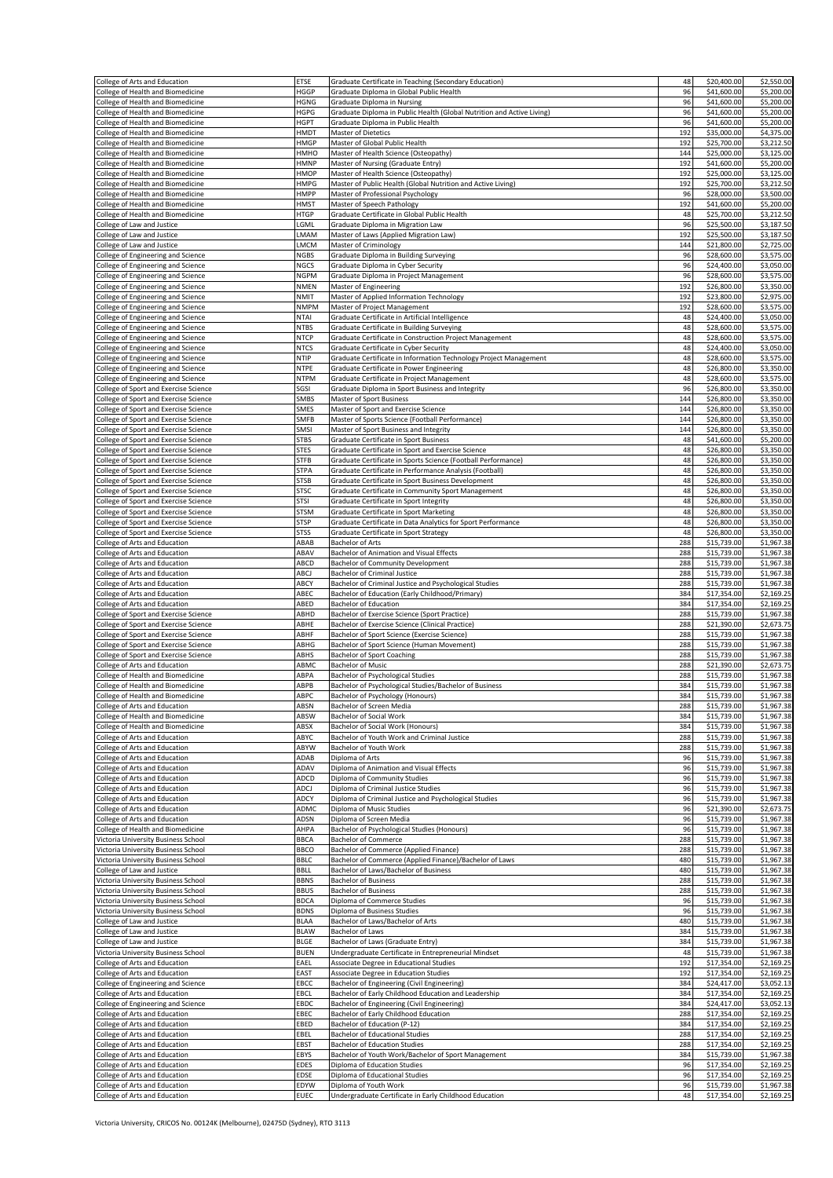| College of Arts and Education                                                  | ETSE                       | Graduate Certificate in Teaching (Secondary Education)                                                                   | 48         | \$20,400.00                | \$2,550.00               |
|--------------------------------------------------------------------------------|----------------------------|--------------------------------------------------------------------------------------------------------------------------|------------|----------------------------|--------------------------|
| College of Health and Biomedicine<br>College of Health and Biomedicine         | HGGP<br><b>HGNG</b>        | Graduate Diploma in Global Public Health<br>Graduate Diploma in Nursing                                                  | 96<br>96   | \$41,600.00<br>\$41,600.00 | \$5,200.00<br>\$5,200.00 |
| College of Health and Biomedicine                                              | <b>HGPG</b>                | Graduate Diploma in Public Health (Global Nutrition and Active Living)                                                   | 96         | \$41,600.00                | \$5,200.00               |
| College of Health and Biomedicine                                              | <b>HGPT</b>                | Graduate Diploma in Public Health                                                                                        | 96         | \$41,600.00                | \$5,200.00               |
| College of Health and Biomedicine<br>College of Health and Biomedicine         | HMDT<br><b>HMGP</b>        | Master of Dietetics<br>Master of Global Public Health                                                                    | 192<br>192 | \$35,000.00<br>\$25,700.00 | \$4,375.00<br>\$3,212.50 |
| College of Health and Biomedicine                                              | HMHO                       | Master of Health Science (Osteopathy)                                                                                    | 144        | \$25,000.00                | \$3,125.00               |
| College of Health and Biomedicine                                              | <b>HMNP</b>                | Master of Nursing (Graduate Entry)                                                                                       | 192        | \$41,600.00                | \$5,200.00               |
| College of Health and Biomedicine                                              | <b>HMOP</b>                | Master of Health Science (Osteopathy)                                                                                    | 192        | \$25,000.00                | \$3,125.00               |
| College of Health and Biomedicine<br>College of Health and Biomedicine         | <b>HMPG</b><br><b>HMPP</b> | Master of Public Health (Global Nutrition and Active Living)<br>Master of Professional Psychology                        | 192<br>96  | \$25,700.00<br>\$28,000.00 | \$3,212.50<br>\$3,500.00 |
| College of Health and Biomedicine                                              | <b>HMST</b>                | Master of Speech Pathology                                                                                               | 192        | \$41,600.00                | \$5,200.00               |
| College of Health and Biomedicine                                              | <b>HTGP</b>                | Graduate Certificate in Global Public Health                                                                             | 48         | \$25,700.00                | \$3,212.50               |
| College of Law and Justice                                                     | LGML<br>LMAM               | Graduate Diploma in Migration Law<br>Master of Laws (Applied Migration Law)                                              | 96<br>192  | \$25,500.00                | \$3,187.50<br>\$3,187.50 |
| College of Law and Justice<br>College of Law and Justice                       | LMCM                       | Master of Criminology                                                                                                    | 144        | \$25,500.00<br>\$21,800.00 | \$2,725.00               |
| College of Engineering and Science                                             | <b>NGBS</b>                | Graduate Diploma in Building Surveying                                                                                   | 96         | \$28,600.00                | \$3,575.00               |
| College of Engineering and Science                                             | <b>NGCS</b>                | Graduate Diploma in Cyber Security                                                                                       | 96         | \$24,400.00                | \$3,050.00               |
| College of Engineering and Science<br>College of Engineering and Science       | <b>NGPM</b><br><b>NMEN</b> | Graduate Diploma in Project Management<br>Master of Engineering                                                          | 96<br>192  | \$28,600.00<br>\$26,800.00 | \$3,575.00<br>\$3,350.00 |
| College of Engineering and Science                                             | <b>NMIT</b>                | Master of Applied Information Technology                                                                                 | 192        | \$23,800.00                | \$2,975.00               |
| College of Engineering and Science                                             | <b>NMPM</b>                | Master of Project Management                                                                                             | 192        | \$28,600.00                | \$3,575.00               |
| College of Engineering and Science                                             | <b>NTAI</b>                | Graduate Certificate in Artificial Intelligence                                                                          | 48         | \$24,400.00                | \$3,050.00               |
| College of Engineering and Science<br>College of Engineering and Science       | <b>NTBS</b><br><b>NTCP</b> | Graduate Certificate in Building Surveying<br>Graduate Certificate in Construction Project Management                    | 48<br>48   | \$28,600.00<br>\$28,600.00 | \$3,575.00<br>\$3,575.00 |
| College of Engineering and Science                                             | <b>NTCS</b>                | Graduate Certificate in Cyber Security                                                                                   | 48         | \$24,400.00                | \$3,050.00               |
| College of Engineering and Science                                             | <b>NTIP</b>                | Graduate Certificate in Information Technology Project Management                                                        | 48         | \$28,600.00                | \$3,575.00               |
| College of Engineering and Science                                             | <b>NTPE</b>                | Graduate Certificate in Power Engineering                                                                                | 48         | \$26,800.00                | \$3,350.00<br>\$3,575.00 |
| College of Engineering and Science<br>College of Sport and Exercise Science    | <b>NTPM</b><br>SGSI        | Graduate Certificate in Project Management<br>Graduate Diploma in Sport Business and Integrity                           | 48<br>96   | \$28,600.00<br>\$26,800.00 | \$3,350.00               |
| College of Sport and Exercise Science                                          | SMBS                       | Master of Sport Business                                                                                                 | 144        | \$26,800.00                | \$3,350.00               |
| College of Sport and Exercise Science                                          | SMES                       | Master of Sport and Exercise Science                                                                                     | 144        | \$26,800.00                | \$3,350.00               |
| College of Sport and Exercise Science<br>College of Sport and Exercise Science | <b>SMFB</b><br>SMSI        | Master of Sports Science (Football Performance)<br>Master of Sport Business and Integrity                                | 144<br>144 | \$26,800.00<br>\$26,800.00 | \$3,350.00<br>\$3,350.00 |
| College of Sport and Exercise Science                                          | <b>STBS</b>                | <b>Graduate Certificate in Sport Business</b>                                                                            | 48         | \$41,600.00                | \$5,200.00               |
| College of Sport and Exercise Science                                          | <b>STES</b>                | Graduate Certificate in Sport and Exercise Science                                                                       | 48         | \$26,800.00                | \$3,350.00               |
| College of Sport and Exercise Science                                          | <b>STFB</b><br><b>STPA</b> | Graduate Certificate in Sports Science (Football Performance)<br>Graduate Certificate in Performance Analysis (Football) | 48<br>48   | \$26,800.00<br>\$26,800.00 | \$3,350.00<br>\$3,350.00 |
| College of Sport and Exercise Science<br>College of Sport and Exercise Science | <b>STSB</b>                | Graduate Certificate in Sport Business Development                                                                       | 48         | \$26,800.00                | \$3,350.00               |
| College of Sport and Exercise Science                                          | <b>STSC</b>                | Graduate Certificate in Community Sport Management                                                                       | 48         | \$26,800.00                | \$3,350.00               |
| College of Sport and Exercise Science                                          | <b>STSI</b>                | Graduate Certificate in Sport Integrity                                                                                  | 48         | \$26,800.00                | \$3,350.00               |
| College of Sport and Exercise Science<br>College of Sport and Exercise Science | <b>STSM</b><br><b>STSP</b> | Graduate Certificate in Sport Marketing<br>Graduate Certificate in Data Analytics for Sport Performance                  | 48<br>48   | \$26,800.00<br>\$26,800.00 | \$3,350.00<br>\$3,350.00 |
| College of Sport and Exercise Science                                          | <b>STSS</b>                | Graduate Certificate in Sport Strategy                                                                                   | 48         | \$26,800.00                | \$3,350.00               |
| College of Arts and Education                                                  | ABAB                       | Bachelor of Arts                                                                                                         | 288        | \$15,739.00                | \$1,967.38               |
| College of Arts and Education                                                  | ABAV                       | Bachelor of Animation and Visual Effects                                                                                 | 288        | \$15,739.00                | \$1,967.38               |
| College of Arts and Education<br>College of Arts and Education                 | ABCD<br>ABCJ               | Bachelor of Community Development<br><b>Bachelor of Criminal Justice</b>                                                 | 288<br>288 | \$15,739.00<br>\$15,739.00 | \$1,967.38<br>\$1,967.38 |
| College of Arts and Education                                                  | ABCY                       | Bachelor of Criminal Justice and Psychological Studies                                                                   | 288        | \$15,739.00                | \$1,967.38               |
| College of Arts and Education                                                  | ABEC                       | Bachelor of Education (Early Childhood/Primary)                                                                          | 384        | \$17,354.00                | \$2,169.25               |
| College of Arts and Education<br>College of Sport and Exercise Science         | ABED<br>ABHD               | <b>Bachelor of Education</b><br>Bachelor of Exercise Science (Sport Practice)                                            | 384<br>288 | \$17,354.00<br>\$15,739.00 | \$2,169.25<br>\$1,967.38 |
| College of Sport and Exercise Science                                          | ABHE                       | Bachelor of Exercise Science (Clinical Practice)                                                                         | 288        | \$21,390.00                | \$2,673.75               |
| College of Sport and Exercise Science                                          | ABHF                       | Bachelor of Sport Science (Exercise Science)                                                                             | 288        | \$15,739.00                | \$1,967.38               |
| College of Sport and Exercise Science                                          | ABHG                       | Bachelor of Sport Science (Human Movement)                                                                               | 288        | \$15,739.00                | \$1,967.38               |
| College of Sport and Exercise Science<br>College of Arts and Education         | ABHS<br>ABMC               | <b>Bachelor of Sport Coaching</b><br><b>Bachelor of Music</b>                                                            | 288<br>288 | \$15,739.00<br>\$21,390.00 | \$1,967.38<br>\$2,673.75 |
| College of Health and Biomedicine                                              | ABPA                       | Bachelor of Psychological Studies                                                                                        | 288        | \$15,739.00                | \$1,967.38               |
| College of Health and Biomedicine                                              | ABPB                       | Bachelor of Psychological Studies/Bachelor of Business                                                                   | 384        | \$15,739.00                | \$1,967.38               |
| College of Health and Biomedicine                                              | ABPC                       | Bachelor of Psychology (Honours)                                                                                         | 384        | \$15,739.00                | \$1,967.38               |
| College of Arts and Education<br>College of Health and Biomedicine             | ABSN<br>ABSW               | Bachelor of Screen Media<br>Bachelor of Social Work                                                                      | 288<br>384 | \$15,739.00<br>\$15,739.00 | \$1,967.38<br>\$1,967.38 |
| College of Health and Biomedicine                                              | ABSX                       | Bachelor of Social Work (Honours)                                                                                        | 384        | \$15,739.00                | \$1,967.38               |
| College of Arts and Education                                                  | ABYC                       | Bachelor of Youth Work and Criminal Justice                                                                              | 288        | \$15,739.00                | \$1,967.38               |
| College of Arts and Education                                                  | ABYW<br>ADAB               | Bachelor of Youth Work<br>Diploma of Arts                                                                                | 288<br>96  | \$15,739.00<br>\$15,739.00 | \$1,967.38<br>\$1,967.38 |
| College of Arts and Education<br>College of Arts and Education                 | ADAV                       | Diploma of Animation and Visual Effects                                                                                  | 96         | \$15,739.00                | \$1,967.38               |
| College of Arts and Education                                                  | ADCD                       | Diploma of Community Studies                                                                                             | 96         | \$15,739.00                | \$1,967.38               |
| College of Arts and Education                                                  | ADCJ                       | Diploma of Criminal Justice Studies                                                                                      | 96         | \$15,739.00                | \$1,967.38               |
| College of Arts and Education<br>College of Arts and Education                 | ADCY<br>ADMC               | Diploma of Criminal Justice and Psychological Studies<br>Diploma of Music Studies                                        | 96<br>96   | \$15,739.00<br>\$21,390.00 | \$1,967.38<br>\$2,673.75 |
| College of Arts and Education                                                  | ADSN                       | Diploma of Screen Media                                                                                                  | 96         | \$15,739.00                | \$1,967.38               |
| College of Health and Biomedicine                                              | AHPA                       | Bachelor of Psychological Studies (Honours)                                                                              | 96         | \$15,739.00                | \$1,967.38               |
| Victoria University Business School<br>Victoria University Business School     | <b>BBCA</b><br><b>BBCO</b> | <b>Bachelor of Commerce</b><br>Bachelor of Commerce (Applied Finance)                                                    | 288<br>288 | \$15,739.00<br>\$15,739.00 | \$1,967.38<br>\$1,967.38 |
| Victoria University Business School                                            | <b>BBLC</b>                | Bachelor of Commerce (Applied Finance)/Bachelor of Laws                                                                  | 480        | \$15,739.00                | \$1,967.38               |
| College of Law and Justice                                                     | <b>BBLL</b>                | Bachelor of Laws/Bachelor of Business                                                                                    | 480        | \$15,739.00                | \$1,967.38               |
| Victoria University Business School                                            | <b>BBNS</b>                | <b>Bachelor of Business</b>                                                                                              | 288        | \$15,739.00                | \$1,967.38               |
| Victoria University Business School<br>Victoria University Business School     | <b>BBUS</b><br><b>BDCA</b> | <b>Bachelor of Business</b><br>Diploma of Commerce Studies                                                               | 288<br>96  | \$15,739.00<br>\$15,739.00 | \$1,967.38<br>\$1,967.38 |
| Victoria University Business School                                            | <b>BDNS</b>                | Diploma of Business Studies                                                                                              | 96         | \$15,739.00                | \$1,967.38               |
| College of Law and Justice                                                     | <b>BLAA</b>                | Bachelor of Laws/Bachelor of Arts                                                                                        | 480        | \$15,739.00                | \$1,967.38               |
| College of Law and Justice<br>College of Law and Justice                       | <b>BLAW</b><br><b>BLGE</b> | Bachelor of Laws<br>Bachelor of Laws (Graduate Entry)                                                                    | 384<br>384 | \$15,739.00<br>\$15,739.00 | \$1,967.38<br>\$1,967.38 |
| Victoria University Business School                                            | <b>BUEN</b>                | Undergraduate Certificate in Entrepreneurial Mindset                                                                     | 48         | \$15,739.00                | \$1,967.38               |
| College of Arts and Education                                                  | EAEL                       | Associate Degree in Educational Studies                                                                                  | 192        | \$17,354.00                | \$2,169.25               |
| College of Arts and Education                                                  | EAST                       | Associate Degree in Education Studies                                                                                    | 192        | \$17,354.00                | \$2,169.25               |
| College of Engineering and Science<br>College of Arts and Education            | EBCC<br><b>EBCL</b>        | Bachelor of Engineering (Civil Engineering)<br>Bachelor of Early Childhood Education and Leadership                      | 384<br>384 | \$24,417.00<br>\$17,354.00 | \$3,052.13<br>\$2,169.25 |
| College of Engineering and Science                                             | EBDC                       | Bachelor of Engineering (Civil Engineering)                                                                              | 384        | \$24,417.00                | \$3,052.13               |
| College of Arts and Education                                                  | EBEC                       | Bachelor of Early Childhood Education                                                                                    | 288        | \$17,354.00                | \$2,169.25               |
| College of Arts and Education                                                  | EBED                       | Bachelor of Education (P-12)                                                                                             | 384<br>288 | \$17,354.00                | \$2,169.25               |
| College of Arts and Education<br>College of Arts and Education                 | EBEL<br><b>EBST</b>        | <b>Bachelor of Educational Studies</b><br><b>Bachelor of Education Studies</b>                                           | 288        | \$17,354.00<br>\$17,354.00 | \$2,169.25<br>\$2,169.25 |
| College of Arts and Education                                                  | EBYS                       | Bachelor of Youth Work/Bachelor of Sport Management                                                                      | 384        | \$15,739.00                | \$1,967.38               |
| College of Arts and Education                                                  | <b>EDES</b>                | Diploma of Education Studies                                                                                             | 96         | \$17,354.00                | \$2,169.25               |
| College of Arts and Education<br>College of Arts and Education                 | EDSE<br>EDYW               | Diploma of Educational Studies<br>Diploma of Youth Work                                                                  | 96<br>96   | \$17,354.00<br>\$15,739.00 | \$2,169.25<br>\$1,967.38 |
| College of Arts and Education                                                  | <b>EUEC</b>                | Undergraduate Certificate in Early Childhood Education                                                                   | 48         | \$17,354.00                | \$2,169.25               |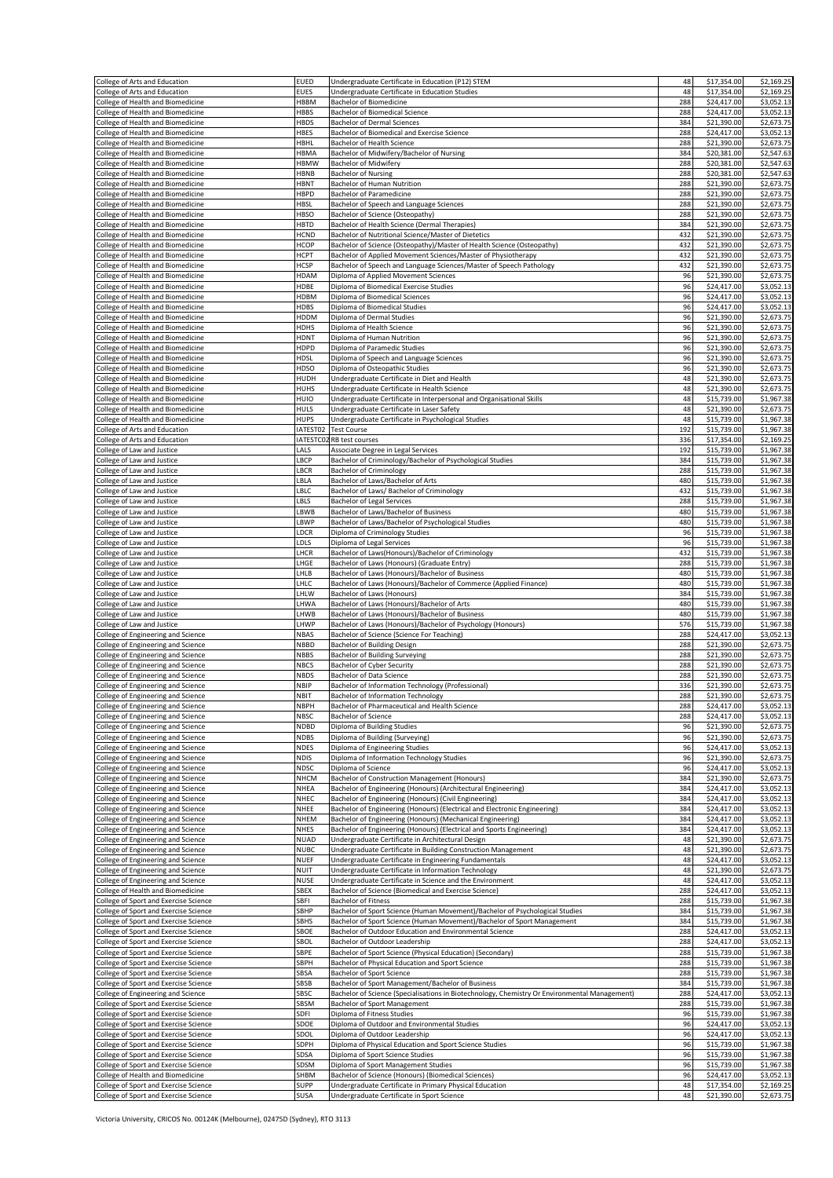| College of Arts and Education                                                  | <b>EUED</b>                | Undergraduate Certificate in Education (P12) STEM                                                                                  | 48         | \$17,354.00                | \$2,169.25               |
|--------------------------------------------------------------------------------|----------------------------|------------------------------------------------------------------------------------------------------------------------------------|------------|----------------------------|--------------------------|
| College of Arts and Education<br>College of Health and Biomedicine             | <b>EUES</b><br><b>HBBM</b> | Undergraduate Certificate in Education Studies<br><b>Bachelor of Biomedicine</b>                                                   | 48<br>288  | \$17,354.00<br>\$24,417.00 | \$2,169.25<br>\$3,052.13 |
| College of Health and Biomedicine                                              | <b>HBBS</b>                | <b>Bachelor of Biomedical Science</b>                                                                                              | 288        | \$24,417.00                | \$3,052.13               |
| College of Health and Biomedicine                                              | <b>HBDS</b>                | <b>Bachelor of Dermal Sciences</b>                                                                                                 | 384        | \$21,390.00                | \$2,673.75               |
| College of Health and Biomedicine<br>College of Health and Biomedicine         | <b>HBES</b><br>HBHL        | Bachelor of Biomedical and Exercise Science<br>Bachelor of Health Science                                                          | 288<br>288 | \$24,417.00<br>\$21,390.00 | \$3,052.13<br>\$2,673.75 |
| College of Health and Biomedicine                                              | HBMA                       | Bachelor of Midwifery/Bachelor of Nursing                                                                                          | 384        | \$20,381.00                | \$2,547.63               |
| College of Health and Biomedicine                                              | <b>HBMW</b>                | <b>Bachelor of Midwifery</b>                                                                                                       | 288        | \$20,381.00                | \$2,547.63               |
| College of Health and Biomedicine                                              | HBNB                       | <b>Bachelor of Nursing</b>                                                                                                         | 288        | \$20,381.00                | \$2,547.63               |
| College of Health and Biomedicine<br>College of Health and Biomedicine         | <b>HBNT</b><br><b>HBPD</b> | Bachelor of Human Nutrition<br>Bachelor of Paramedicine                                                                            | 288<br>288 | \$21,390.00<br>\$21,390.00 | \$2,673.75<br>\$2,673.75 |
| College of Health and Biomedicine                                              | <b>HBSL</b>                | Bachelor of Speech and Language Sciences                                                                                           | 288        | \$21,390.00                | \$2,673.75               |
| College of Health and Biomedicine                                              | <b>HBSO</b>                | Bachelor of Science (Osteopathy)                                                                                                   | 288        | \$21,390.00                | \$2,673.75               |
| College of Health and Biomedicine<br>College of Health and Biomedicine         | <b>HBTD</b><br><b>HCND</b> | Bachelor of Health Science (Dermal Therapies)<br>Bachelor of Nutritional Science/Master of Dietetics                               | 384<br>432 | \$21,390.00<br>\$21,390.00 | \$2,673.75<br>\$2,673.75 |
| College of Health and Biomedicine                                              | <b>HCOP</b>                | Bachelor of Science (Osteopathy)/Master of Health Science (Osteopathy)                                                             | 432        | \$21,390.00                | \$2,673.75               |
| College of Health and Biomedicine                                              | <b>HCPT</b>                | Bachelor of Applied Movement Sciences/Master of Physiotherapy                                                                      | 432        | \$21,390.00                | \$2,673.75               |
| College of Health and Biomedicine                                              | <b>HCSP</b>                | Bachelor of Speech and Language Sciences/Master of Speech Pathology                                                                | 432        | \$21,390.00                | \$2,673.75               |
| College of Health and Biomedicine                                              | HDAM                       | Diploma of Applied Movement Sciences                                                                                               | 96         | \$21,390.00                | \$2,673.75               |
| College of Health and Biomedicine<br>College of Health and Biomedicine         | HDBE<br>HDBM               | Diploma of Biomedical Exercise Studies<br>Diploma of Biomedical Sciences                                                           | 96<br>96   | \$24,417.00<br>\$24,417.00 | \$3,052.13<br>\$3,052.13 |
| College of Health and Biomedicine                                              | HDBS                       | Diploma of Biomedical Studies                                                                                                      | 96         | \$24,417.00                | \$3,052.13               |
| College of Health and Biomedicine                                              | HDDM                       | Diploma of Dermal Studies                                                                                                          | 96         | \$21,390.00                | \$2,673.75               |
| College of Health and Biomedicine                                              | HDHS                       | Diploma of Health Science                                                                                                          | 96         | \$21,390.00                | \$2,673.75               |
| College of Health and Biomedicine<br>College of Health and Biomedicine         | <b>HDNT</b><br>HDPD        | Diploma of Human Nutrition<br>Diploma of Paramedic Studies                                                                         | 96<br>96   | \$21,390.00<br>\$21,390.00 | \$2,673.75<br>\$2,673.75 |
| College of Health and Biomedicine                                              | HDSL                       | Diploma of Speech and Language Sciences                                                                                            | 96         | \$21,390.00                | \$2,673.75               |
| College of Health and Biomedicine                                              | HDSO                       | Diploma of Osteopathic Studies                                                                                                     | 96         | \$21,390.00                | \$2,673.75               |
| College of Health and Biomedicine                                              | HUDH<br><b>HUHS</b>        | Undergraduate Certificate in Diet and Health                                                                                       | 48<br>48   | \$21,390.00<br>\$21,390.00 | \$2,673.75               |
| College of Health and Biomedicine<br>College of Health and Biomedicine         | HUIO                       | Undergraduate Certificate in Health Science<br>Undergraduate Certificate in Interpersonal and Organisational Skills                | 48         | \$15,739.00                | \$2,673.75<br>\$1,967.38 |
| College of Health and Biomedicine                                              | HULS                       | Undergraduate Certificate in Laser Safety                                                                                          | 48         | \$21,390.00                | \$2,673.75               |
| College of Health and Biomedicine                                              | <b>HUPS</b>                | Undergraduate Certificate in Psychological Studies                                                                                 | 48         | \$15,739.00                | \$1,967.38               |
| College of Arts and Education<br>College of Arts and Education                 | IATEST02<br>IATESTC02      | <b>Test Course</b><br>RB test courses                                                                                              | 192<br>336 | \$15,739.00<br>\$17,354.00 | \$1,967.38<br>\$2,169.25 |
| College of Law and Justice                                                     | LALS                       | Associate Degree in Legal Services                                                                                                 | 192        | \$15,739.00                | \$1,967.38               |
| College of Law and Justice                                                     | LBCP                       | Bachelor of Criminology/Bachelor of Psychological Studies                                                                          | 384        | \$15,739.00                | \$1,967.38               |
| College of Law and Justice                                                     | LBCR                       | <b>Bachelor of Criminology</b>                                                                                                     | 288<br>480 | \$15,739.00                | \$1,967.38               |
| College of Law and Justice<br>College of Law and Justice                       | LBLA<br>LBLC               | Bachelor of Laws/Bachelor of Arts<br>Bachelor of Laws/ Bachelor of Criminology                                                     | 432        | \$15,739.00<br>\$15,739.00 | \$1,967.38<br>\$1,967.38 |
| College of Law and Justice                                                     | LBLS                       | <b>Bachelor of Legal Services</b>                                                                                                  | 288        | \$15,739.00                | \$1,967.38               |
| College of Law and Justice                                                     | LBWB                       | Bachelor of Laws/Bachelor of Business                                                                                              | 480        | \$15,739.00                | \$1,967.38               |
| College of Law and Justice<br>College of Law and Justice                       | LBWP<br>LDCR               | Bachelor of Laws/Bachelor of Psychological Studies<br>Diploma of Criminology Studies                                               | 480<br>96  | \$15,739.00<br>\$15,739.00 | \$1,967.38<br>\$1,967.38 |
| College of Law and Justice                                                     | LDLS                       | Diploma of Legal Services                                                                                                          | 96         | \$15,739.00                | \$1,967.38               |
| College of Law and Justice                                                     | LHCR                       | Bachelor of Laws(Honours)/Bachelor of Criminology                                                                                  | 432        | \$15,739.00                | \$1,967.38               |
| College of Law and Justice                                                     | LHGE                       | Bachelor of Laws (Honours) (Graduate Entry)                                                                                        | 288        | \$15,739.00                | \$1,967.38               |
| College of Law and Justice<br>College of Law and Justice                       | LHLB<br>LHLC               | Bachelor of Laws (Honours)/Bachelor of Business<br>Bachelor of Laws (Honours)/Bachelor of Commerce (Applied Finance)               | 480<br>480 | \$15,739.00<br>\$15,739.00 | \$1,967.38<br>\$1,967.38 |
| College of Law and Justice                                                     | LHLW                       | Bachelor of Laws (Honours)                                                                                                         | 384        | \$15,739.00                | \$1,967.38               |
| College of Law and Justice                                                     | LHWA                       | Bachelor of Laws (Honours)/Bachelor of Arts                                                                                        | 480        | \$15,739.00                | \$1,967.38               |
| College of Law and Justice<br>College of Law and Justice                       | LHWB<br>LHWP               | Bachelor of Laws (Honours)/Bachelor of Business<br>Bachelor of Laws (Honours)/Bachelor of Psychology (Honours)                     | 480<br>576 | \$15,739.00<br>\$15,739.00 | \$1,967.38<br>\$1,967.38 |
| College of Engineering and Science                                             | <b>NBAS</b>                | Bachelor of Science (Science For Teaching)                                                                                         | 288        | \$24,417.00                | \$3,052.13               |
| College of Engineering and Science                                             | <b>NBBD</b>                | Bachelor of Building Design                                                                                                        | 288        | \$21,390.00                | \$2,673.75               |
| College of Engineering and Science                                             | <b>NBBS</b>                | <b>Bachelor of Building Surveying</b>                                                                                              | 288        | \$21,390.00<br>\$21,390.00 | \$2,673.75               |
| College of Engineering and Science<br>College of Engineering and Science       | <b>NBCS</b><br><b>NBDS</b> | Bachelor of Cyber Security<br><b>Bachelor of Data Science</b>                                                                      | 288<br>288 | \$21,390.00                | \$2,673.75<br>\$2,673.75 |
| College of Engineering and Science                                             | NBIP                       | Bachelor of Information Technology (Professional)                                                                                  | 336        | \$21,390.00                | \$2,673.75               |
| College of Engineering and Science                                             | <b>NBIT</b>                | Bachelor of Information Technology                                                                                                 | 288        | \$21,390.00                | \$2,673.75               |
| College of Engineering and Science<br>College of Engineering and Science       | <b>NBPH</b><br><b>NBSC</b> | Bachelor of Pharmaceutical and Health Science<br><b>Bachelor of Science</b>                                                        | 288<br>288 | \$24,417.00<br>\$24,417.00 | \$3,052.13<br>\$3,052.13 |
| College of Engineering and Science                                             | <b>NDBD</b>                | Diploma of Building Studies                                                                                                        | 96         | \$21,390.00                | \$2,673.75               |
| College of Engineering and Science                                             | <b>NDBS</b>                | Diploma of Building (Surveying)                                                                                                    | 96         | \$21,390.00                | \$2,673.75               |
| College of Engineering and Science                                             | <b>NDES</b>                | Diploma of Engineering Studies                                                                                                     | 96         | \$24,417.00                | \$3,052.13               |
| College of Engineering and Science<br>College of Engineering and Science       | <b>NDIS</b><br><b>NDSC</b> | Diploma of Information Technology Studies<br>Diploma of Science                                                                    | 96<br>96   | \$21,390.00<br>\$24,417.00 | \$2,673.75<br>\$3,052.13 |
| College of Engineering and Science                                             | <b>NHCM</b>                | Bachelor of Construction Management (Honours)                                                                                      | 384        | \$21,390.00                | \$2,673.75               |
| College of Engineering and Science                                             | NHEA                       | Bachelor of Engineering (Honours) (Architectural Engineering)                                                                      | 384        | \$24,417.00                | \$3,052.13               |
| College of Engineering and Science<br>College of Engineering and Science       | NHEC<br>NHEE               | Bachelor of Engineering (Honours) (Civil Engineering)<br>Bachelor of Engineering (Honours) (Electrical and Electronic Engineering) | 384<br>384 | \$24,417.00<br>\$24,417.00 | \$3,052.13<br>\$3,052.13 |
| College of Engineering and Science                                             | <b>NHEM</b>                | Bachelor of Engineering (Honours) (Mechanical Engineering)                                                                         | 384        | \$24,417.00                | \$3,052.13               |
| College of Engineering and Science                                             | <b>NHES</b>                | Bachelor of Engineering (Honours) (Electrical and Sports Engineering)                                                              | 384        | \$24,417.00                | \$3,052.13               |
| College of Engineering and Science                                             | <b>NUAD</b><br><b>NUBC</b> | Undergraduate Certificate in Architectural Design<br>Undergraduate Certificate in Building Construction Management                 | 48<br>48   | \$21,390.00<br>\$21,390.00 | \$2,673.75<br>\$2,673.75 |
| College of Engineering and Science<br>College of Engineering and Science       | <b>NUEF</b>                | Undergraduate Certificate in Engineering Fundamentals                                                                              | 48         | \$24,417.00                | \$3,052.13               |
| College of Engineering and Science                                             | NUIT                       | Undergraduate Certificate in Information Technology                                                                                | 48         | \$21,390.00                | \$2,673.75               |
| College of Engineering and Science                                             | <b>NUSE</b>                | Undergraduate Certificate in Science and the Environment                                                                           | 48         | \$24,417.00                | \$3,052.13               |
| College of Health and Biomedicine<br>College of Sport and Exercise Science     | SBEX<br>SBFI               | Bachelor of Science (Biomedical and Exercise Science)<br><b>Bachelor of Fitness</b>                                                | 288<br>288 | \$24,417.00<br>\$15,739.00 | \$3,052.13<br>\$1,967.38 |
| College of Sport and Exercise Science                                          | SBHP                       | Bachelor of Sport Science (Human Movement)/Bachelor of Psychological Studies                                                       | 384        | \$15,739.00                | \$1,967.38               |
| College of Sport and Exercise Science                                          | SBHS                       | Bachelor of Sport Science (Human Movement)/Bachelor of Sport Management                                                            | 384        | \$15,739.00                | \$1,967.38               |
| College of Sport and Exercise Science<br>College of Sport and Exercise Science | SBOE<br>SBOL               | Bachelor of Outdoor Education and Environmental Science<br>Bachelor of Outdoor Leadership                                          | 288<br>288 | \$24,417.00<br>\$24,417.00 | \$3,052.13<br>\$3,052.13 |
| College of Sport and Exercise Science                                          | SBPE                       | Bachelor of Sport Science (Physical Education) (Secondary)                                                                         | 288        | \$15,739.00                | \$1,967.38               |
| College of Sport and Exercise Science                                          | SBPH                       | Bachelor of Physical Education and Sport Science                                                                                   | 288        | \$15,739.00                | \$1,967.38               |
| College of Sport and Exercise Science<br>College of Sport and Exercise Science | SBSA<br>SBSB               | Bachelor of Sport Science<br>Bachelor of Sport Management/Bachelor of Business                                                     | 288<br>384 | \$15,739.00<br>\$15,739.00 | \$1,967.38<br>\$1,967.38 |
| College of Engineering and Science                                             | SBSC                       | Bachelor of Science (Specialisations in Biotechnology, Chemistry Or Environmental Management)                                      | 288        | \$24,417.00                | \$3,052.13               |
| College of Sport and Exercise Science                                          | SBSM                       | Bachelor of Sport Management                                                                                                       | 288        | \$15,739.00                | \$1,967.38               |
| College of Sport and Exercise Science                                          | SDFI                       | Diploma of Fitness Studies                                                                                                         | 96         | \$15,739.00                | \$1,967.38               |
| College of Sport and Exercise Science<br>College of Sport and Exercise Science | SDOE<br>SDOL               | Diploma of Outdoor and Environmental Studies<br>Diploma of Outdoor Leadership                                                      | 96<br>96   | \$24,417.00<br>\$24,417.00 | \$3,052.13<br>\$3,052.13 |
| College of Sport and Exercise Science                                          | SDPH                       | Diploma of Physical Education and Sport Science Studies                                                                            | 96         | \$15,739.00                | \$1,967.38               |
| College of Sport and Exercise Science                                          | SDSA                       | Diploma of Sport Science Studies                                                                                                   | 96         | \$15,739.00                | \$1,967.38               |
| College of Sport and Exercise Science<br>College of Health and Biomedicine     | SDSM<br>SHBM               | Diploma of Sport Management Studies<br>Bachelor of Science (Honours) (Biomedical Sciences)                                         | 96<br>96   | \$15,739.00<br>\$24,417.00 | \$1,967.38<br>\$3,052.13 |
| College of Sport and Exercise Science                                          | SUPP                       | Undergraduate Certificate in Primary Physical Education                                                                            | 48         | \$17,354.00                | \$2,169.25               |
| College of Sport and Exercise Science                                          | SUSA                       | Undergraduate Certificate in Sport Science                                                                                         | 48         | \$21,390.00                | \$2,673.75               |